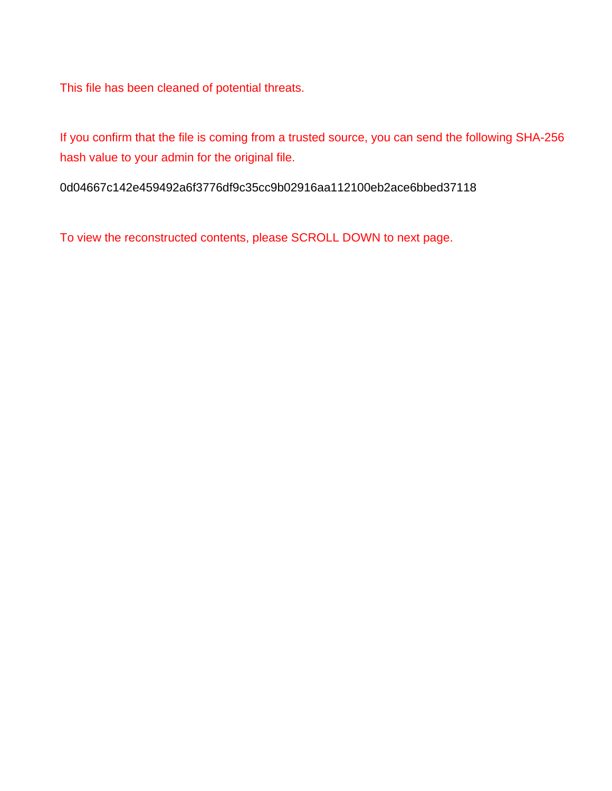This file has been cleaned of potential threats.

If you confirm that the file is coming from a trusted source, you can send the following SHA-256 hash value to your admin for the original file.

0d04667c142e459492a6f3776df9c35cc9b02916aa112100eb2ace6bbed37118

To view the reconstructed contents, please SCROLL DOWN to next page.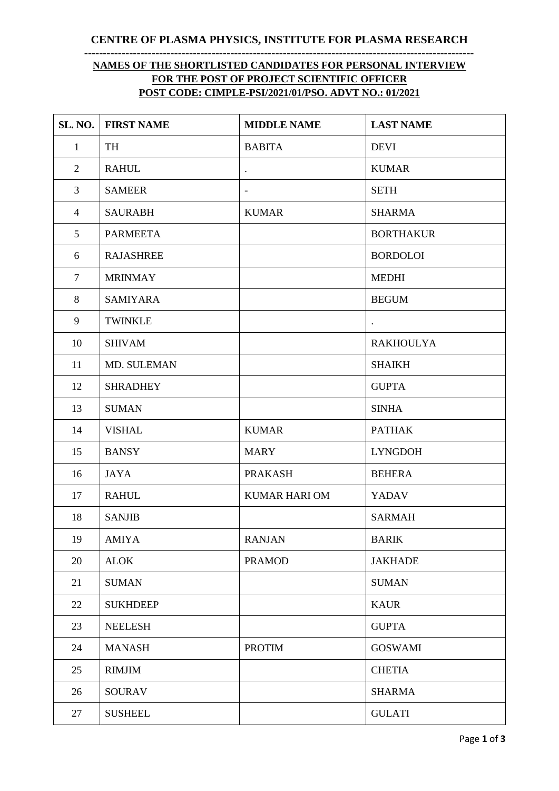**CENTRE OF PLASMA PHYSICS, INSTITUTE FOR PLASMA RESEARCH --------------------------------------------------------------------------------------------------------**

## **NAMES OF THE SHORTLISTED CANDIDATES FOR PERSONAL INTERVIEW FOR THE POST OF PROJECT SCIENTIFIC OFFICER POST CODE: CIMPLE-PSI/2021/01/PSO. ADVT NO.: 01/2021**

| SL. NO.        | <b>FIRST NAME</b> | <b>MIDDLE NAME</b>       | <b>LAST NAME</b> |
|----------------|-------------------|--------------------------|------------------|
| $\mathbf{1}$   | TH                | <b>BABITA</b>            | <b>DEVI</b>      |
| 2              | <b>RAHUL</b>      | $\bullet$                | <b>KUMAR</b>     |
| 3              | <b>SAMEER</b>     | $\overline{\phantom{a}}$ | <b>SETH</b>      |
| $\overline{4}$ | <b>SAURABH</b>    | <b>KUMAR</b>             | <b>SHARMA</b>    |
| 5              | <b>PARMEETA</b>   |                          | <b>BORTHAKUR</b> |
| 6              | <b>RAJASHREE</b>  |                          | <b>BORDOLOI</b>  |
| $\tau$         | <b>MRINMAY</b>    |                          | <b>MEDHI</b>     |
| 8              | <b>SAMIYARA</b>   |                          | <b>BEGUM</b>     |
| 9              | <b>TWINKLE</b>    |                          |                  |
| 10             | <b>SHIVAM</b>     |                          | <b>RAKHOULYA</b> |
| 11             | MD. SULEMAN       |                          | <b>SHAIKH</b>    |
| 12             | <b>SHRADHEY</b>   |                          | <b>GUPTA</b>     |
| 13             | <b>SUMAN</b>      |                          | <b>SINHA</b>     |
| 14             | <b>VISHAL</b>     | <b>KUMAR</b>             | <b>PATHAK</b>    |
| 15             | <b>BANSY</b>      | <b>MARY</b>              | <b>LYNGDOH</b>   |
| 16             | <b>JAYA</b>       | <b>PRAKASH</b>           | <b>BEHERA</b>    |
| 17             | <b>RAHUL</b>      | <b>KUMAR HARI OM</b>     | <b>YADAV</b>     |
| 18             | <b>SANJIB</b>     |                          | <b>SARMAH</b>    |
| 19             | <b>AMIYA</b>      | <b>RANJAN</b>            | <b>BARIK</b>     |
| 20             | <b>ALOK</b>       | <b>PRAMOD</b>            | <b>JAKHADE</b>   |
| 21             | <b>SUMAN</b>      |                          | <b>SUMAN</b>     |
| 22             | <b>SUKHDEEP</b>   |                          | <b>KAUR</b>      |
| 23             | <b>NEELESH</b>    |                          | <b>GUPTA</b>     |
| 24             | <b>MANASH</b>     | <b>PROTIM</b>            | <b>GOSWAMI</b>   |
| 25             | <b>RIMJIM</b>     |                          | <b>CHETIA</b>    |
| 26             | <b>SOURAV</b>     |                          | <b>SHARMA</b>    |
| 27             | <b>SUSHEEL</b>    |                          | <b>GULATI</b>    |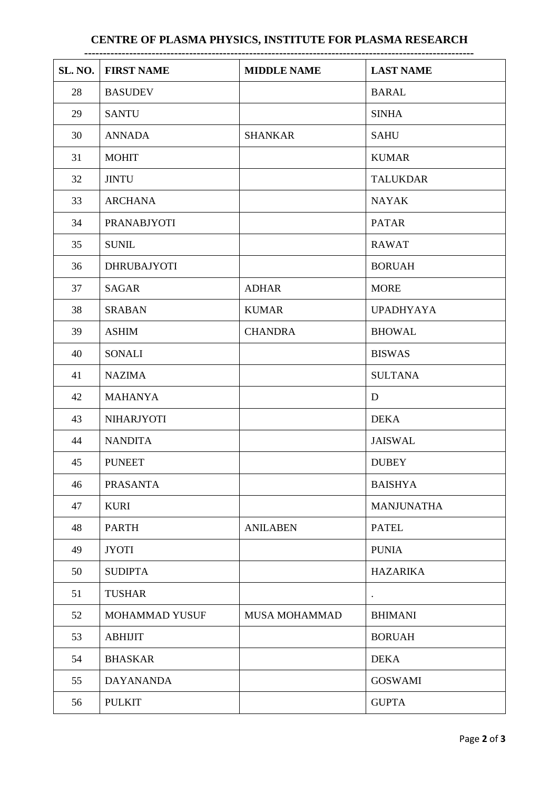## **CENTRE OF PLASMA PHYSICS, INSTITUTE FOR PLASMA RESEARCH**

| SL. NO. | <b>FIRST NAME</b>  | <b>MIDDLE NAME</b>   | <b>LAST NAME</b>  |  |  |  |
|---------|--------------------|----------------------|-------------------|--|--|--|
| 28      | <b>BASUDEV</b>     |                      | <b>BARAL</b>      |  |  |  |
| 29      | <b>SANTU</b>       |                      | <b>SINHA</b>      |  |  |  |
| 30      | <b>ANNADA</b>      | <b>SHANKAR</b>       | <b>SAHU</b>       |  |  |  |
| 31      | <b>MOHIT</b>       |                      | <b>KUMAR</b>      |  |  |  |
| 32      | <b>JINTU</b>       |                      | <b>TALUKDAR</b>   |  |  |  |
| 33      | <b>ARCHANA</b>     |                      | <b>NAYAK</b>      |  |  |  |
| 34      | <b>PRANABJYOTI</b> |                      | <b>PATAR</b>      |  |  |  |
| 35      | <b>SUNIL</b>       |                      | <b>RAWAT</b>      |  |  |  |
| 36      | <b>DHRUBAJYOTI</b> |                      | <b>BORUAH</b>     |  |  |  |
| 37      | <b>SAGAR</b>       | <b>ADHAR</b>         | <b>MORE</b>       |  |  |  |
| 38      | <b>SRABAN</b>      | <b>KUMAR</b>         | <b>UPADHYAYA</b>  |  |  |  |
| 39      | <b>ASHIM</b>       | <b>CHANDRA</b>       | <b>BHOWAL</b>     |  |  |  |
| 40      | <b>SONALI</b>      |                      | <b>BISWAS</b>     |  |  |  |
| 41      | <b>NAZIMA</b>      |                      | <b>SULTANA</b>    |  |  |  |
| 42      | <b>MAHANYA</b>     |                      | D                 |  |  |  |
| 43      | <b>NIHARJYOTI</b>  |                      | <b>DEKA</b>       |  |  |  |
| 44      | <b>NANDITA</b>     |                      | <b>JAISWAL</b>    |  |  |  |
| 45      | <b>PUNEET</b>      |                      | <b>DUBEY</b>      |  |  |  |
| 46      | <b>PRASANTA</b>    |                      | <b>BAISHYA</b>    |  |  |  |
| 47      | <b>KURI</b>        |                      | <b>MANJUNATHA</b> |  |  |  |
| 48      | <b>PARTH</b>       | <b>ANILABEN</b>      | <b>PATEL</b>      |  |  |  |
| 49      | <b>JYOTI</b>       |                      | <b>PUNIA</b>      |  |  |  |
| 50      | <b>SUDIPTA</b>     |                      | <b>HAZARIKA</b>   |  |  |  |
| 51      | <b>TUSHAR</b>      |                      | $\bullet$         |  |  |  |
| 52      | MOHAMMAD YUSUF     | <b>MUSA MOHAMMAD</b> | <b>BHIMANI</b>    |  |  |  |
| 53      | <b>ABHIJIT</b>     |                      | <b>BORUAH</b>     |  |  |  |
| 54      | <b>BHASKAR</b>     |                      | <b>DEKA</b>       |  |  |  |
| 55      | <b>DAYANANDA</b>   |                      | <b>GOSWAMI</b>    |  |  |  |
| 56      | <b>PULKIT</b>      |                      | <b>GUPTA</b>      |  |  |  |